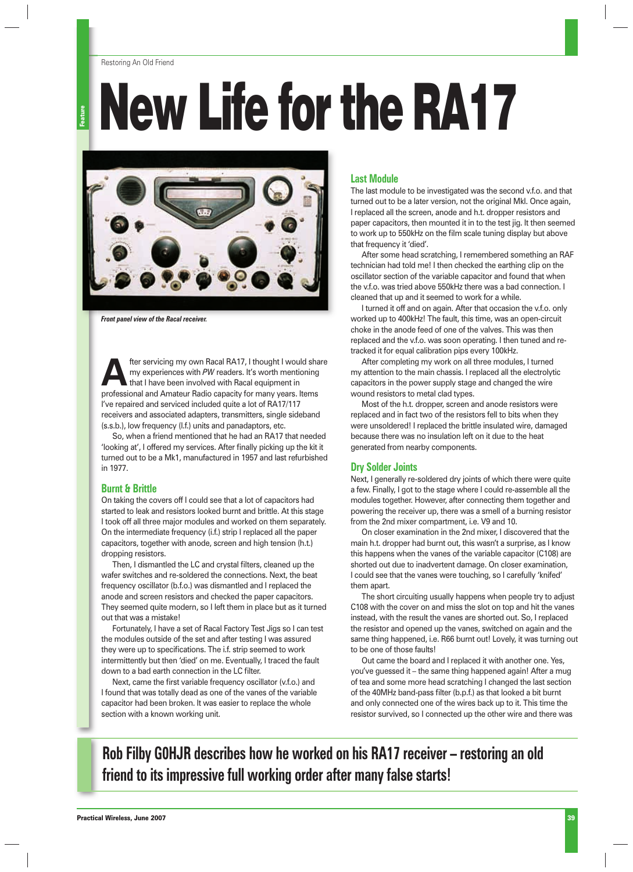#### Restoring An Old Friend

**Pature** 

# **New Life for the RA17**



*Front panel view of the Racal receiver.* 

**After servicing my own Racal RA17, I thought I would share<br>that I have been involved with Racal equipment in<br>profectional and Ametery Radia conseit the manuscrations** my experiences with *PW* readers. It's worth mentioning that I have been involved with Racal equipment in professional and Amateur Radio capacity for many years. Items I've repaired and serviced included quite a lot of RA17/117 receivers and associated adapters, transmitters, single sideband (s.s.b.), low frequency (l.f.) units and panadaptors, etc.

So, when a friend mentioned that he had an RA17 that needed 'looking at', I offered my services. After finally picking up the kit it turned out to be a Mk1, manufactured in 1957 and last refurbished in 1977.

#### **Burnt & Brittle**

On taking the covers off I could see that a lot of capacitors had started to leak and resistors looked burnt and brittle. At this stage I took off all three major modules and worked on them separately. On the intermediate frequency (i.f.) strip I replaced all the paper capacitors, together with anode, screen and high tension (h.t.) dropping resistors.

Then, I dismantled the LC and crystal filters, cleaned up the wafer switches and re-soldered the connections. Next, the beat frequency oscillator (b.f.o.) was dismantled and I replaced the anode and screen resistors and checked the paper capacitors. They seemed quite modern, so I left them in place but as it turned out that was a mistake!

Fortunately, I have a set of Racal Factory Test Jigs so I can test the modules outside of the set and after testing I was assured they were up to specifications. The *i.f.* strip seemed to work intermittently but then 'died' on me. Eventually, I traced the fault down to a bad earth connection in the LC filter.

Next, came the first variable frequency oscillator (v.f.o.) and I found that was totally dead as one of the vanes of the variable capacitor had been broken. It was easier to replace the whole section with a known working unit.

## **Last Module**

The last module to be investigated was the second v.f.o. and that turned out to be a later version, not the original MkI. Once again, I replaced all the screen, anode and h.t. dropper resistors and paper capacitors, then mounted it in to the test jig. It then seemed to work up to 550kHz on the film scale tuning display but above that frequency it 'died'.

After some head scratching, I remembered something an RAF technician had told me! I then checked the earthing clip on the oscillator section of the variable capacitor and found that when the v.f.o. was tried above 550kHz there was a bad connection. I cleaned that up and it seemed to work for a while.

I turned it off and on again. After that occasion the v.f.o. only worked up to 400kHz! The fault, this time, was an open-circuit choke in the anode feed of one of the valves. This was then replaced and the v.f.o. was soon operating. I then tuned and retracked it for equal calibration pips every 100kHz.

After completing my work on all three modules, I turned my attention to the main chassis. I replaced all the electrolytic capacitors in the power supply stage and changed the wire wound resistors to metal clad types.

Most of the h.t. dropper, screen and anode resistors were replaced and in fact two of the resistors fell to bits when they were unsoldered! I replaced the brittle insulated wire, damaged because there was no insulation left on it due to the heat generated from nearby components.

## **Dry Solder Joints**

Next, I generally re-soldered dry joints of which there were quite a few. Finally, I got to the stage where I could re-assemble all the modules together. However, after connecting them together and powering the receiver up, there was a smell of a burning resistor from the 2nd mixer compartment, i.e. V9 and 10.

On closer examination in the 2nd mixer, I discovered that the main h.t. dropper had burnt out, this wasn't a surprise, as I know this happens when the vanes of the variable capacitor (C108) are shorted out due to inadvertent damage. On closer examination, I could see that the vanes were touching, so I carefully 'knifed' them apart.

The short circuiting usually happens when people try to adjust C108 with the cover on and miss the slot on top and hit the vanes instead, with the result the vanes are shorted out. So, I replaced the resistor and opened up the vanes, switched on again and the same thing happened, i.e. R66 burnt out! Lovely, it was turning out to be one of those faults!

Out came the board and I replaced it with another one. Yes, you've guessed it – the same thing happened again! After a mug of tea and some more head scratching I changed the last section of the 40MHz band-pass filter (b.p.f.) as that looked a bit burnt and only connected one of the wires back up to it. This time the resistor survived, so I connected up the other wire and there was

**Rob Filby G0HJR describes how he worked on his RA17 receiver – restoring an old friend to its impressive full working order after many false starts!**